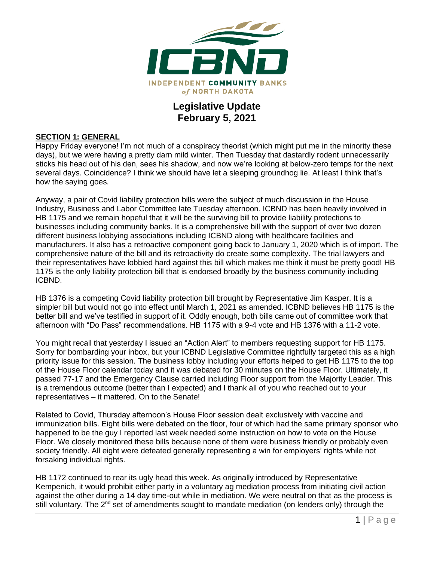

## **Legislative Update February 5, 2021**

#### **SECTION 1: GENERAL**

Happy Friday everyone! I'm not much of a conspiracy theorist (which might put me in the minority these days), but we were having a pretty darn mild winter. Then Tuesday that dastardly rodent unnecessarily sticks his head out of his den, sees his shadow, and now we're looking at below-zero temps for the next several days. Coincidence? I think we should have let a sleeping groundhog lie. At least I think that's how the saying goes.

Anyway, a pair of Covid liability protection bills were the subject of much discussion in the House Industry, Business and Labor Committee late Tuesday afternoon. ICBND has been heavily involved in HB 1175 and we remain hopeful that it will be the surviving bill to provide liability protections to businesses including community banks. It is a comprehensive bill with the support of over two dozen different business lobbying associations including ICBND along with healthcare facilities and manufacturers. It also has a retroactive component going back to January 1, 2020 which is of import. The comprehensive nature of the bill and its retroactivity do create some complexity. The trial lawyers and their representatives have lobbied hard against this bill which makes me think it must be pretty good! HB 1175 is the only liability protection bill that is endorsed broadly by the business community including ICBND.

HB 1376 is a competing Covid liability protection bill brought by Representative Jim Kasper. It is a simpler bill but would not go into effect until March 1, 2021 as amended. ICBND believes HB 1175 is the better bill and we've testified in support of it. Oddly enough, both bills came out of committee work that afternoon with "Do Pass" recommendations. HB 1175 with a 9-4 vote and HB 1376 with a 11-2 vote.

You might recall that yesterday I issued an "Action Alert" to members requesting support for HB 1175. Sorry for bombarding your inbox, but your ICBND Legislative Committee rightfully targeted this as a high priority issue for this session. The business lobby including your efforts helped to get HB 1175 to the top of the House Floor calendar today and it was debated for 30 minutes on the House Floor. Ultimately, it passed 77-17 and the Emergency Clause carried including Floor support from the Majority Leader. This is a tremendous outcome (better than I expected) and I thank all of you who reached out to your representatives – it mattered. On to the Senate!

Related to Covid, Thursday afternoon's House Floor session dealt exclusively with vaccine and immunization bills. Eight bills were debated on the floor, four of which had the same primary sponsor who happened to be the guy I reported last week needed some instruction on how to vote on the House Floor. We closely monitored these bills because none of them were business friendly or probably even society friendly. All eight were defeated generally representing a win for employers' rights while not forsaking individual rights.

HB 1172 continued to rear its ugly head this week. As originally introduced by Representative Kempenich, it would prohibit either party in a voluntary ag mediation process from initiating civil action against the other during a 14 day time-out while in mediation. We were neutral on that as the process is still voluntary. The 2<sup>nd</sup> set of amendments sought to mandate mediation (on lenders only) through the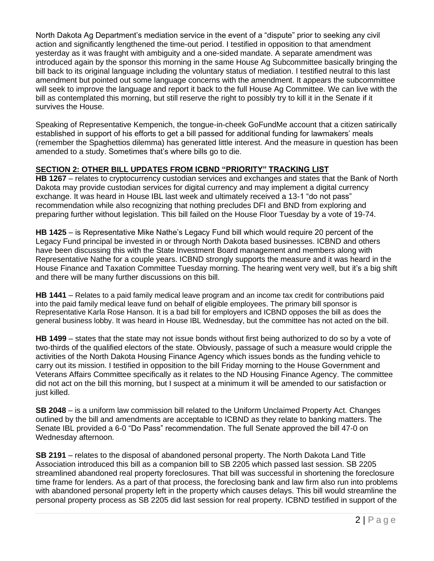North Dakota Ag Department's mediation service in the event of a "dispute" prior to seeking any civil action and significantly lengthened the time-out period. I testified in opposition to that amendment yesterday as it was fraught with ambiguity and a one-sided mandate. A separate amendment was introduced again by the sponsor this morning in the same House Ag Subcommittee basically bringing the bill back to its original language including the voluntary status of mediation. I testified neutral to this last amendment but pointed out some language concerns with the amendment. It appears the subcommittee will seek to improve the language and report it back to the full House Ag Committee. We can live with the bill as contemplated this morning, but still reserve the right to possibly try to kill it in the Senate if it survives the House.

Speaking of Representative Kempenich, the tongue-in-cheek GoFundMe account that a citizen satirically established in support of his efforts to get a bill passed for additional funding for lawmakers' meals (remember the Spaghettios dilemma) has generated little interest. And the measure in question has been amended to a study. Sometimes that's where bills go to die.

### **SECTION 2: OTHER BILL UPDATES FROM ICBND "PRIORITY" TRACKING LIST**

**HB 1267** – relates to cryptocurrency custodian services and exchanges and states that the Bank of North Dakota may provide custodian services for digital currency and may implement a digital currency exchange. It was heard in House IBL last week and ultimately received a 13-1 "do not pass" recommendation while also recognizing that nothing precludes DFI and BND from exploring and preparing further without legislation. This bill failed on the House Floor Tuesday by a vote of 19-74.

**HB 1425** – is Representative Mike Nathe's Legacy Fund bill which would require 20 percent of the Legacy Fund principal be invested in or through North Dakota based businesses. ICBND and others have been discussing this with the State Investment Board management and members along with Representative Nathe for a couple years. ICBND strongly supports the measure and it was heard in the House Finance and Taxation Committee Tuesday morning. The hearing went very well, but it's a big shift and there will be many further discussions on this bill.

**HB 1441** – Relates to a paid family medical leave program and an income tax credit for contributions paid into the paid family medical leave fund on behalf of eligible employees. The primary bill sponsor is Representative Karla Rose Hanson. It is a bad bill for employers and ICBND opposes the bill as does the general business lobby. It was heard in House IBL Wednesday, but the committee has not acted on the bill.

**HB 1499** – states that the state may not issue bonds without first being authorized to do so by a vote of two-thirds of the qualified electors of the state. Obviously, passage of such a measure would cripple the activities of the North Dakota Housing Finance Agency which issues bonds as the funding vehicle to carry out its mission. I testified in opposition to the bill Friday morning to the House Government and Veterans Affairs Committee specifically as it relates to the ND Housing Finance Agency. The committee did not act on the bill this morning, but I suspect at a minimum it will be amended to our satisfaction or just killed.

**SB 2048** – is a uniform law commission bill related to the Uniform Unclaimed Property Act. Changes outlined by the bill and amendments are acceptable to ICBND as they relate to banking matters. The Senate IBL provided a 6-0 "Do Pass" recommendation. The full Senate approved the bill 47-0 on Wednesday afternoon.

**SB 2191** – relates to the disposal of abandoned personal property. The North Dakota Land Title Association introduced this bill as a companion bill to SB 2205 which passed last session. SB 2205 streamlined abandoned real property foreclosures. That bill was successful in shortening the foreclosure time frame for lenders. As a part of that process, the foreclosing bank and law firm also run into problems with abandoned personal property left in the property which causes delays. This bill would streamline the personal property process as SB 2205 did last session for real property. ICBND testified in support of the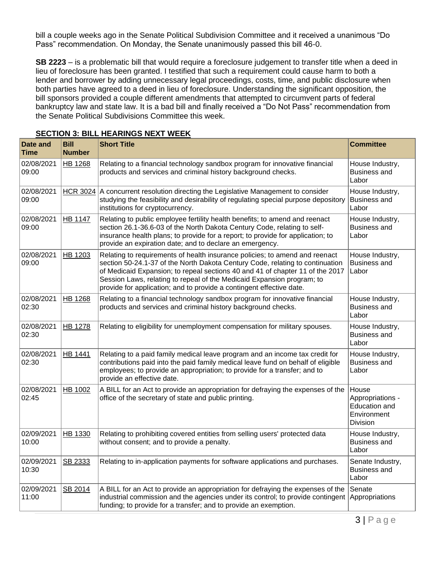bill a couple weeks ago in the Senate Political Subdivision Committee and it received a unanimous "Do Pass" recommendation. On Monday, the Senate unanimously passed this bill 46-0.

**SB 2223** – is a problematic bill that would require a foreclosure judgement to transfer title when a deed in lieu of foreclosure has been granted. I testified that such a requirement could cause harm to both a lender and borrower by adding unnecessary legal proceedings, costs, time, and public disclosure when both parties have agreed to a deed in lieu of foreclosure. Understanding the significant opposition, the bill sponsors provided a couple different amendments that attempted to circumvent parts of federal bankruptcy law and state law. It is a bad bill and finally received a "Do Not Pass" recommendation from the Senate Political Subdivisions Committee this week.

| <b>Date and</b><br><b>Time</b> | <b>Bill</b><br><b>Number</b> | <b>Short Title</b>                                                                                                                                                                                                                                                                                                                                                                              | <b>Committee</b>                                                      |
|--------------------------------|------------------------------|-------------------------------------------------------------------------------------------------------------------------------------------------------------------------------------------------------------------------------------------------------------------------------------------------------------------------------------------------------------------------------------------------|-----------------------------------------------------------------------|
| 02/08/2021<br>09:00            | <b>HB 1268</b>               | Relating to a financial technology sandbox program for innovative financial<br>products and services and criminal history background checks.                                                                                                                                                                                                                                                    | House Industry,<br><b>Business and</b><br>Labor                       |
| 02/08/2021<br>09:00            | <b>HCR 3024</b>              | A concurrent resolution directing the Legislative Management to consider<br>studying the feasibility and desirability of regulating special purpose depository<br>institutions for cryptocurrency.                                                                                                                                                                                              | House Industry,<br><b>Business and</b><br>Labor                       |
| 02/08/2021<br>09:00            | <b>HB 1147</b>               | Relating to public employee fertility health benefits; to amend and reenact<br>section 26.1-36.6-03 of the North Dakota Century Code, relating to self-<br>insurance health plans; to provide for a report; to provide for application; to<br>provide an expiration date; and to declare an emergency.                                                                                          | House Industry,<br><b>Business and</b><br>Labor                       |
| 02/08/2021<br>09:00            | HB 1203                      | Relating to requirements of health insurance policies; to amend and reenact<br>section 50-24.1-37 of the North Dakota Century Code, relating to continuation<br>of Medicaid Expansion; to repeal sections 40 and 41 of chapter 11 of the 2017<br>Session Laws, relating to repeal of the Medicaid Expansion program; to<br>provide for application; and to provide a contingent effective date. | House Industry,<br><b>Business and</b><br>Labor                       |
| 02/08/2021<br>02:30            | <b>HB 1268</b>               | Relating to a financial technology sandbox program for innovative financial<br>products and services and criminal history background checks.                                                                                                                                                                                                                                                    | House Industry,<br><b>Business and</b><br>Labor                       |
| 02/08/2021<br>02:30            | <b>HB 1278</b>               | Relating to eligibility for unemployment compensation for military spouses.                                                                                                                                                                                                                                                                                                                     | House Industry,<br><b>Business and</b><br>Labor                       |
| 02/08/2021<br>02:30            | <b>HB 1441</b>               | Relating to a paid family medical leave program and an income tax credit for<br>contributions paid into the paid family medical leave fund on behalf of eligible<br>employees; to provide an appropriation; to provide for a transfer; and to<br>provide an effective date.                                                                                                                     | House Industry,<br><b>Business and</b><br>Labor                       |
| 02/08/2021<br>02:45            | HB 1002                      | A BILL for an Act to provide an appropriation for defraying the expenses of the<br>office of the secretary of state and public printing.                                                                                                                                                                                                                                                        | House<br>Appropriations -<br>Education and<br>Environment<br>Division |
| 02/09/2021<br>10:00            | <b>HB 1330</b>               | Relating to prohibiting covered entities from selling users' protected data<br>without consent; and to provide a penalty.                                                                                                                                                                                                                                                                       | House Industry,<br><b>Business and</b><br>Labor                       |
| 02/09/2021<br>10:30            | SB 2333                      | Relating to in-application payments for software applications and purchases.                                                                                                                                                                                                                                                                                                                    | Senate Industry,<br><b>Business and</b><br>Labor                      |
| 02/09/2021<br>11:00            | SB 2014                      | A BILL for an Act to provide an appropriation for defraying the expenses of the<br>industrial commission and the agencies under its control; to provide contingent<br>funding; to provide for a transfer; and to provide an exemption.                                                                                                                                                          | Senate<br>Appropriations                                              |

#### **SECTION 3: BILL HEARINGS NEXT WEEK**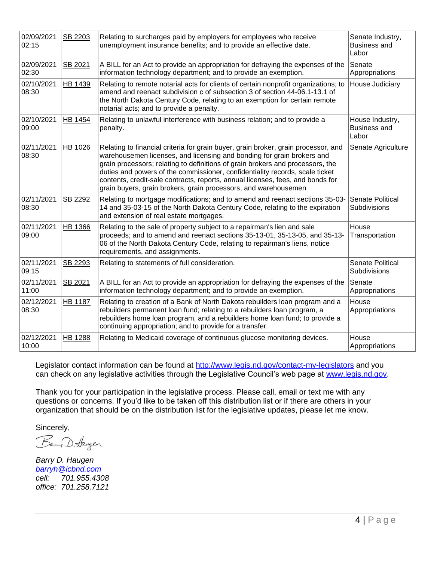| 02/09/2021<br>02:15 | SB 2203        | Relating to surcharges paid by employers for employees who receive<br>unemployment insurance benefits; and to provide an effective date.                                                                                                                                                                                                                                                                                                                                            | Senate Industry,<br><b>Business and</b><br>Labor |
|---------------------|----------------|-------------------------------------------------------------------------------------------------------------------------------------------------------------------------------------------------------------------------------------------------------------------------------------------------------------------------------------------------------------------------------------------------------------------------------------------------------------------------------------|--------------------------------------------------|
| 02/09/2021<br>02:30 | SB 2021        | A BILL for an Act to provide an appropriation for defraying the expenses of the<br>information technology department; and to provide an exemption.                                                                                                                                                                                                                                                                                                                                  | Senate<br>Appropriations                         |
| 02/10/2021<br>08:30 | HB 1439        | Relating to remote notarial acts for clients of certain nonprofit organizations; to<br>amend and reenact subdivision c of subsection 3 of section 44-06.1-13.1 of<br>the North Dakota Century Code, relating to an exemption for certain remote<br>notarial acts; and to provide a penalty.                                                                                                                                                                                         | House Judiciary                                  |
| 02/10/2021<br>09:00 | HB 1454        | Relating to unlawful interference with business relation; and to provide a<br>penalty.                                                                                                                                                                                                                                                                                                                                                                                              | House Industry,<br><b>Business and</b><br>Labor  |
| 02/11/2021<br>08:30 | HB 1026        | Relating to financial criteria for grain buyer, grain broker, grain processor, and<br>warehousemen licenses, and licensing and bonding for grain brokers and<br>grain processors; relating to definitions of grain brokers and processors, the<br>duties and powers of the commissioner, confidentiality records, scale ticket<br>contents, credit-sale contracts, reports, annual licenses, fees, and bonds for<br>grain buyers, grain brokers, grain processors, and warehousemen | Senate Agriculture                               |
| 02/11/2021<br>08:30 | SB 2292        | Relating to mortgage modifications; and to amend and reenact sections 35-03-<br>14 and 35-03-15 of the North Dakota Century Code, relating to the expiration<br>and extension of real estate mortgages.                                                                                                                                                                                                                                                                             | Senate Political<br>Subdivisions                 |
| 02/11/2021<br>09:00 | HB 1366        | Relating to the sale of property subject to a repairman's lien and sale<br>proceeds; and to amend and reenact sections 35-13-01, 35-13-05, and 35-13-<br>06 of the North Dakota Century Code, relating to repairman's liens, notice<br>requirements, and assignments.                                                                                                                                                                                                               | House<br>Transportation                          |
| 02/11/2021<br>09:15 | SB 2293        | Relating to statements of full consideration.                                                                                                                                                                                                                                                                                                                                                                                                                                       | Senate Political<br>Subdivisions                 |
| 02/11/2021<br>11:00 | SB 2021        | A BILL for an Act to provide an appropriation for defraying the expenses of the<br>information technology department; and to provide an exemption.                                                                                                                                                                                                                                                                                                                                  | Senate<br>Appropriations                         |
| 02/12/2021<br>08:30 | <b>HB 1187</b> | Relating to creation of a Bank of North Dakota rebuilders loan program and a<br>rebuilders permanent loan fund; relating to a rebuilders loan program, a<br>rebuilders home loan program, and a rebuilders home loan fund; to provide a<br>continuing appropriation; and to provide for a transfer.                                                                                                                                                                                 | House<br>Appropriations                          |
| 02/12/2021<br>10:00 | HB 1288        | Relating to Medicaid coverage of continuous glucose monitoring devices.                                                                                                                                                                                                                                                                                                                                                                                                             | House<br>Appropriations                          |

Legislator contact information can be found at<http://www.legis.nd.gov/contact-my-legislators> and you can check on any legislative activities through the Legislative Council's web page at [www.legis.nd.gov.](http://www.legis.nd.gov/)

Thank you for your participation in the legislative process. Please call, email or text me with any questions or concerns. If you'd like to be taken off this distribution list or if there are others in your organization that should be on the distribution list for the legislative updates, please let me know.

Sincerely,

Bany D. Haugen

*Barry D. Haugen [barryh@icbnd.com](mailto:barryh@icbnd.com) cell: 701.955.4308 office: 701.258.7121*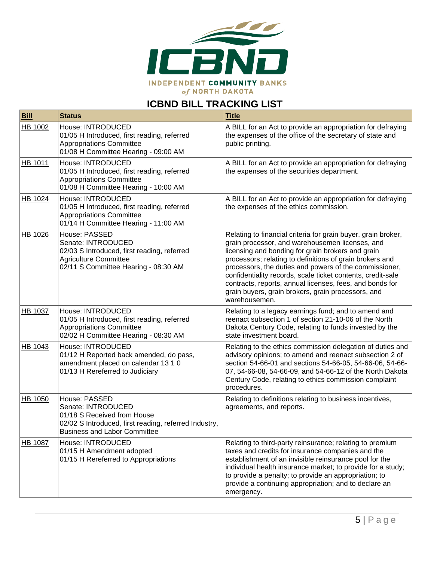

# **ICBND BILL TRACKING LIST**

| <b>Bill</b>    | <b>Status</b>                                                                                                                                                      | <b>Title</b>                                                                                                                                                                                                                                                                                                                                                                                                                                                                                  |
|----------------|--------------------------------------------------------------------------------------------------------------------------------------------------------------------|-----------------------------------------------------------------------------------------------------------------------------------------------------------------------------------------------------------------------------------------------------------------------------------------------------------------------------------------------------------------------------------------------------------------------------------------------------------------------------------------------|
| HB 1002        | House: INTRODUCED<br>01/05 H Introduced, first reading, referred<br><b>Appropriations Committee</b><br>01/08 H Committee Hearing - 09:00 AM                        | A BILL for an Act to provide an appropriation for defraying<br>the expenses of the office of the secretary of state and<br>public printing.                                                                                                                                                                                                                                                                                                                                                   |
| HB 1011        | House: INTRODUCED<br>01/05 H Introduced, first reading, referred<br><b>Appropriations Committee</b><br>01/08 H Committee Hearing - 10:00 AM                        | A BILL for an Act to provide an appropriation for defraying<br>the expenses of the securities department.                                                                                                                                                                                                                                                                                                                                                                                     |
| HB 1024        | House: INTRODUCED<br>01/05 H Introduced, first reading, referred<br><b>Appropriations Committee</b><br>01/14 H Committee Hearing - 11:00 AM                        | A BILL for an Act to provide an appropriation for defraying<br>the expenses of the ethics commission.                                                                                                                                                                                                                                                                                                                                                                                         |
| HB 1026        | House: PASSED<br>Senate: INTRODUCED<br>02/03 S Introduced, first reading, referred<br><b>Agriculture Committee</b><br>02/11 S Committee Hearing - 08:30 AM         | Relating to financial criteria for grain buyer, grain broker,<br>grain processor, and warehousemen licenses, and<br>licensing and bonding for grain brokers and grain<br>processors; relating to definitions of grain brokers and<br>processors, the duties and powers of the commissioner,<br>confidentiality records, scale ticket contents, credit-sale<br>contracts, reports, annual licenses, fees, and bonds for<br>grain buyers, grain brokers, grain processors, and<br>warehousemen. |
| HB 1037        | House: INTRODUCED<br>01/05 H Introduced, first reading, referred<br><b>Appropriations Committee</b><br>02/02 H Committee Hearing - 08:30 AM                        | Relating to a legacy earnings fund; and to amend and<br>reenact subsection 1 of section 21-10-06 of the North<br>Dakota Century Code, relating to funds invested by the<br>state investment board.                                                                                                                                                                                                                                                                                            |
| HB 1043        | House: INTRODUCED<br>01/12 H Reported back amended, do pass,<br>amendment placed on calendar 13 1 0<br>01/13 H Rereferred to Judiciary                             | Relating to the ethics commission delegation of duties and<br>advisory opinions; to amend and reenact subsection 2 of<br>section 54-66-01 and sections 54-66-05, 54-66-06, 54-66-<br>07, 54-66-08, 54-66-09, and 54-66-12 of the North Dakota<br>Century Code, relating to ethics commission complaint<br>procedures.                                                                                                                                                                         |
| HB 1050        | House: PASSED<br>Senate: INTRODUCED<br>01/18 S Received from House<br>02/02 S Introduced, first reading, referred Industry,<br><b>Business and Labor Committee</b> | Relating to definitions relating to business incentives,<br>agreements, and reports.                                                                                                                                                                                                                                                                                                                                                                                                          |
| <b>HB 1087</b> | House: INTRODUCED<br>01/15 H Amendment adopted<br>01/15 H Rereferred to Appropriations                                                                             | Relating to third-party reinsurance; relating to premium<br>taxes and credits for insurance companies and the<br>establishment of an invisible reinsurance pool for the<br>individual health insurance market; to provide for a study;<br>to provide a penalty; to provide an appropriation; to<br>provide a continuing appropriation; and to declare an<br>emergency.                                                                                                                        |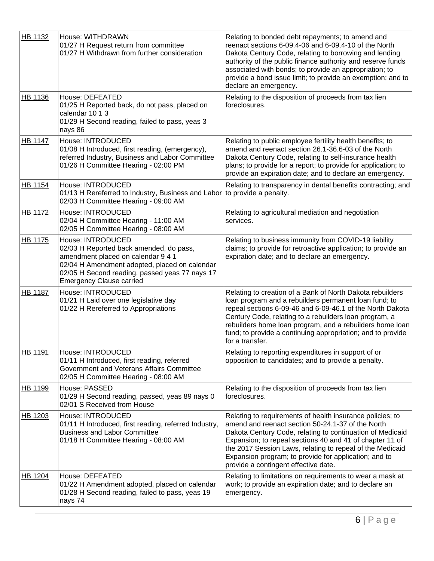| HB 1132        | House: WITHDRAWN<br>01/27 H Request return from committee<br>01/27 H Withdrawn from further consideration                                                                                                                                | Relating to bonded debt repayments; to amend and<br>reenact sections 6-09.4-06 and 6-09.4-10 of the North<br>Dakota Century Code, relating to borrowing and lending<br>authority of the public finance authority and reserve funds<br>associated with bonds; to provide an appropriation; to<br>provide a bond issue limit; to provide an exemption; and to<br>declare an emergency.                  |
|----------------|------------------------------------------------------------------------------------------------------------------------------------------------------------------------------------------------------------------------------------------|-------------------------------------------------------------------------------------------------------------------------------------------------------------------------------------------------------------------------------------------------------------------------------------------------------------------------------------------------------------------------------------------------------|
| HB 1136        | House: DEFEATED<br>01/25 H Reported back, do not pass, placed on<br>calendar 10 1 3<br>01/29 H Second reading, failed to pass, yeas 3<br>nays 86                                                                                         | Relating to the disposition of proceeds from tax lien<br>foreclosures.                                                                                                                                                                                                                                                                                                                                |
| <b>HB 1147</b> | House: INTRODUCED<br>01/08 H Introduced, first reading, (emergency),<br>referred Industry, Business and Labor Committee<br>01/26 H Committee Hearing - 02:00 PM                                                                          | Relating to public employee fertility health benefits; to<br>amend and reenact section 26.1-36.6-03 of the North<br>Dakota Century Code, relating to self-insurance health<br>plans; to provide for a report; to provide for application; to<br>provide an expiration date; and to declare an emergency.                                                                                              |
| HB 1154        | House: INTRODUCED<br>01/13 H Rereferred to Industry, Business and Labor<br>02/03 H Committee Hearing - 09:00 AM                                                                                                                          | Relating to transparency in dental benefits contracting; and<br>to provide a penalty.                                                                                                                                                                                                                                                                                                                 |
| <b>HB 1172</b> | House: INTRODUCED<br>02/04 H Committee Hearing - 11:00 AM<br>02/05 H Committee Hearing - 08:00 AM                                                                                                                                        | Relating to agricultural mediation and negotiation<br>services.                                                                                                                                                                                                                                                                                                                                       |
| HB 1175        | House: INTRODUCED<br>02/03 H Reported back amended, do pass,<br>amendment placed on calendar 9 4 1<br>02/04 H Amendment adopted, placed on calendar<br>02/05 H Second reading, passed yeas 77 nays 17<br><b>Emergency Clause carried</b> | Relating to business immunity from COVID-19 liability<br>claims; to provide for retroactive application; to provide an<br>expiration date; and to declare an emergency.                                                                                                                                                                                                                               |
| <b>HB 1187</b> | House: INTRODUCED<br>01/21 H Laid over one legislative day<br>01/22 H Rereferred to Appropriations                                                                                                                                       | Relating to creation of a Bank of North Dakota rebuilders<br>loan program and a rebuilders permanent loan fund; to<br>repeal sections 6-09-46 and 6-09-46.1 of the North Dakota<br>Century Code, relating to a rebuilders loan program, a<br>rebuilders home loan program, and a rebuilders home loan<br>fund; to provide a continuing appropriation; and to provide<br>for a transfer.               |
| HB 1191        | House: INTRODUCED<br>01/11 H Introduced, first reading, referred<br>Government and Veterans Affairs Committee<br>02/05 H Committee Hearing - 08:00 AM                                                                                    | Relating to reporting expenditures in support of or<br>opposition to candidates; and to provide a penalty.                                                                                                                                                                                                                                                                                            |
| HB 1199        | House: PASSED<br>01/29 H Second reading, passed, yeas 89 nays 0<br>02/01 S Received from House                                                                                                                                           | Relating to the disposition of proceeds from tax lien<br>foreclosures.                                                                                                                                                                                                                                                                                                                                |
| HB 1203        | House: INTRODUCED<br>01/11 H Introduced, first reading, referred Industry,<br><b>Business and Labor Committee</b><br>01/18 H Committee Hearing - 08:00 AM                                                                                | Relating to requirements of health insurance policies; to<br>amend and reenact section 50-24.1-37 of the North<br>Dakota Century Code, relating to continuation of Medicaid<br>Expansion; to repeal sections 40 and 41 of chapter 11 of<br>the 2017 Session Laws, relating to repeal of the Medicaid<br>Expansion program; to provide for application; and to<br>provide a contingent effective date. |
| <b>HB 1204</b> | House: DEFEATED<br>01/22 H Amendment adopted, placed on calendar<br>01/28 H Second reading, failed to pass, yeas 19<br>nays 74                                                                                                           | Relating to limitations on requirements to wear a mask at<br>work; to provide an expiration date; and to declare an<br>emergency.                                                                                                                                                                                                                                                                     |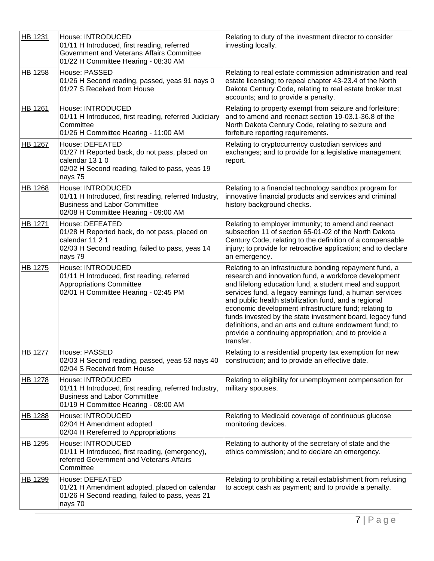| HB 1231        | House: INTRODUCED<br>01/11 H Introduced, first reading, referred<br>Government and Veterans Affairs Committee<br>01/22 H Committee Hearing - 08:30 AM     | Relating to duty of the investment director to consider<br>investing locally.                                                                                                                                                                                                                                                                                                                                                                                                                                                                        |
|----------------|-----------------------------------------------------------------------------------------------------------------------------------------------------------|------------------------------------------------------------------------------------------------------------------------------------------------------------------------------------------------------------------------------------------------------------------------------------------------------------------------------------------------------------------------------------------------------------------------------------------------------------------------------------------------------------------------------------------------------|
| HB 1258        | House: PASSED<br>01/26 H Second reading, passed, yeas 91 nays 0<br>01/27 S Received from House                                                            | Relating to real estate commission administration and real<br>estate licensing; to repeal chapter 43-23.4 of the North<br>Dakota Century Code, relating to real estate broker trust<br>accounts; and to provide a penalty.                                                                                                                                                                                                                                                                                                                           |
| <b>HB 1261</b> | House: INTRODUCED<br>01/11 H Introduced, first reading, referred Judiciary<br>Committee<br>01/26 H Committee Hearing - 11:00 AM                           | Relating to property exempt from seizure and forfeiture;<br>and to amend and reenact section 19-03.1-36.8 of the<br>North Dakota Century Code, relating to seizure and<br>forfeiture reporting requirements.                                                                                                                                                                                                                                                                                                                                         |
| HB 1267        | House: DEFEATED<br>01/27 H Reported back, do not pass, placed on<br>calendar 13 1 0<br>02/02 H Second reading, failed to pass, yeas 19<br>nays 75         | Relating to cryptocurrency custodian services and<br>exchanges; and to provide for a legislative management<br>report.                                                                                                                                                                                                                                                                                                                                                                                                                               |
| <b>HB 1268</b> | House: INTRODUCED<br>01/11 H Introduced, first reading, referred Industry,<br><b>Business and Labor Committee</b><br>02/08 H Committee Hearing - 09:00 AM | Relating to a financial technology sandbox program for<br>innovative financial products and services and criminal<br>history background checks.                                                                                                                                                                                                                                                                                                                                                                                                      |
| HB 1271        | House: DEFEATED<br>01/28 H Reported back, do not pass, placed on<br>calendar 11 2 1<br>02/03 H Second reading, failed to pass, yeas 14<br>nays 79         | Relating to employer immunity; to amend and reenact<br>subsection 11 of section 65-01-02 of the North Dakota<br>Century Code, relating to the definition of a compensable<br>injury; to provide for retroactive application; and to declare<br>an emergency.                                                                                                                                                                                                                                                                                         |
| <b>HB 1275</b> | House: INTRODUCED<br>01/11 H Introduced, first reading, referred<br><b>Appropriations Committee</b><br>02/01 H Committee Hearing - 02:45 PM               | Relating to an infrastructure bonding repayment fund, a<br>research and innovation fund, a workforce development<br>and lifelong education fund, a student meal and support<br>services fund, a legacy earnings fund, a human services<br>and public health stabilization fund, and a regional<br>economic development infrastructure fund; relating to<br>funds invested by the state investment board, legacy fund<br>definitions, and an arts and culture endowment fund; to<br>provide a continuing appropriation; and to provide a<br>transfer. |
| HB 1277        | House: PASSED<br>02/03 H Second reading, passed, yeas 53 nays 40<br>02/04 S Received from House                                                           | Relating to a residential property tax exemption for new<br>construction; and to provide an effective date.                                                                                                                                                                                                                                                                                                                                                                                                                                          |
| HB 1278        | House: INTRODUCED<br>01/11 H Introduced, first reading, referred Industry,<br><b>Business and Labor Committee</b><br>01/19 H Committee Hearing - 08:00 AM | Relating to eligibility for unemployment compensation for<br>military spouses.                                                                                                                                                                                                                                                                                                                                                                                                                                                                       |
| <b>HB 1288</b> | House: INTRODUCED<br>02/04 H Amendment adopted<br>02/04 H Rereferred to Appropriations                                                                    | Relating to Medicaid coverage of continuous glucose<br>monitoring devices.                                                                                                                                                                                                                                                                                                                                                                                                                                                                           |
| HB 1295        | House: INTRODUCED<br>01/11 H Introduced, first reading, (emergency),<br>referred Government and Veterans Affairs<br>Committee                             | Relating to authority of the secretary of state and the<br>ethics commission; and to declare an emergency.                                                                                                                                                                                                                                                                                                                                                                                                                                           |
| HB 1299        | House: DEFEATED<br>01/21 H Amendment adopted, placed on calendar<br>01/26 H Second reading, failed to pass, yeas 21<br>nays 70                            | Relating to prohibiting a retail establishment from refusing<br>to accept cash as payment; and to provide a penalty.                                                                                                                                                                                                                                                                                                                                                                                                                                 |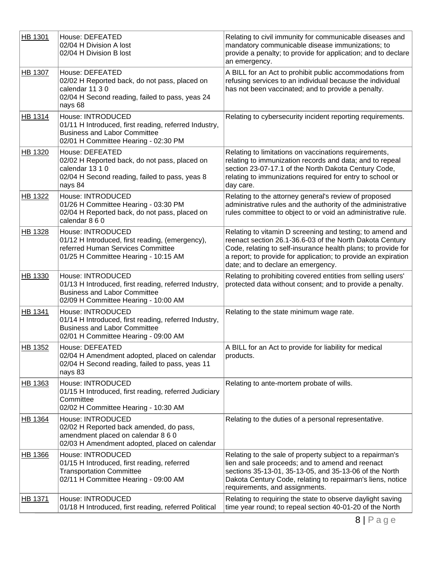| HB 1301 | House: DEFEATED<br>02/04 H Division A lost<br>02/04 H Division B lost                                                                                     | Relating to civil immunity for communicable diseases and<br>mandatory communicable disease immunizations; to<br>provide a penalty; to provide for application; and to declare<br>an emergency.                                                                                                 |
|---------|-----------------------------------------------------------------------------------------------------------------------------------------------------------|------------------------------------------------------------------------------------------------------------------------------------------------------------------------------------------------------------------------------------------------------------------------------------------------|
| HB 1307 | House: DEFEATED<br>02/02 H Reported back, do not pass, placed on<br>calendar 11 3 0<br>02/04 H Second reading, failed to pass, yeas 24<br>nays 68         | A BILL for an Act to prohibit public accommodations from<br>refusing services to an individual because the individual<br>has not been vaccinated; and to provide a penalty.                                                                                                                    |
| HB 1314 | House: INTRODUCED<br>01/11 H Introduced, first reading, referred Industry,<br><b>Business and Labor Committee</b><br>02/01 H Committee Hearing - 02:30 PM | Relating to cybersecurity incident reporting requirements.                                                                                                                                                                                                                                     |
| HB 1320 | House: DEFEATED<br>02/02 H Reported back, do not pass, placed on<br>calendar 13 1 0<br>02/04 H Second reading, failed to pass, yeas 8<br>nays 84          | Relating to limitations on vaccinations requirements,<br>relating to immunization records and data; and to repeal<br>section 23-07-17.1 of the North Dakota Century Code,<br>relating to immunizations required for entry to school or<br>day care.                                            |
| HB 1322 | House: INTRODUCED<br>01/26 H Committee Hearing - 03:30 PM<br>02/04 H Reported back, do not pass, placed on<br>calendar 8 6 0                              | Relating to the attorney general's review of proposed<br>administrative rules and the authority of the administrative<br>rules committee to object to or void an administrative rule.                                                                                                          |
| HB 1328 | House: INTRODUCED<br>01/12 H Introduced, first reading, (emergency),<br>referred Human Services Committee<br>01/25 H Committee Hearing - 10:15 AM         | Relating to vitamin D screening and testing; to amend and<br>reenact section 26.1-36.6-03 of the North Dakota Century<br>Code, relating to self-insurance health plans; to provide for<br>a report; to provide for application; to provide an expiration<br>date; and to declare an emergency. |
| HB 1330 | House: INTRODUCED<br>01/13 H Introduced, first reading, referred Industry,<br><b>Business and Labor Committee</b><br>02/09 H Committee Hearing - 10:00 AM | Relating to prohibiting covered entities from selling users'<br>protected data without consent; and to provide a penalty.                                                                                                                                                                      |
| HB 1341 | House: INTRODUCED<br>01/14 H Introduced, first reading, referred Industry,<br><b>Business and Labor Committee</b><br>02/01 H Committee Hearing - 09:00 AM | Relating to the state minimum wage rate.                                                                                                                                                                                                                                                       |
| HB 1352 | House: DEFEATED<br>02/04 H Amendment adopted, placed on calendar<br>02/04 H Second reading, failed to pass, yeas 11<br>nays 83                            | A BILL for an Act to provide for liability for medical<br>products.                                                                                                                                                                                                                            |
| HB 1363 | House: INTRODUCED<br>01/15 H Introduced, first reading, referred Judiciary<br>Committee<br>02/02 H Committee Hearing - 10:30 AM                           | Relating to ante-mortem probate of wills.                                                                                                                                                                                                                                                      |
| HB 1364 | House: INTRODUCED<br>02/02 H Reported back amended, do pass,<br>amendment placed on calendar 8 6 0<br>02/03 H Amendment adopted, placed on calendar       | Relating to the duties of a personal representative.                                                                                                                                                                                                                                           |
| HB 1366 | House: INTRODUCED<br>01/15 H Introduced, first reading, referred<br><b>Transportation Committee</b><br>02/11 H Committee Hearing - 09:00 AM               | Relating to the sale of property subject to a repairman's<br>lien and sale proceeds; and to amend and reenact<br>sections 35-13-01, 35-13-05, and 35-13-06 of the North<br>Dakota Century Code, relating to repairman's liens, notice<br>requirements, and assignments.                        |
| HB 1371 | House: INTRODUCED<br>01/18 H Introduced, first reading, referred Political                                                                                | Relating to requiring the state to observe daylight saving<br>time year round; to repeal section 40-01-20 of the North                                                                                                                                                                         |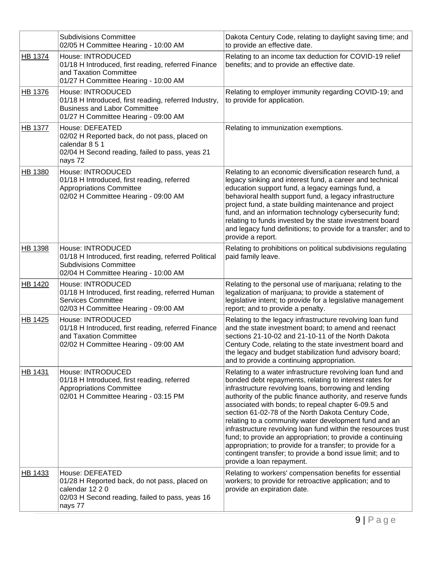|                | <b>Subdivisions Committee</b><br>02/05 H Committee Hearing - 10:00 AM                                                                                     | Dakota Century Code, relating to daylight saving time; and<br>to provide an effective date.                                                                                                                                                                                                                                                                                                                                                                                                                                                                                                                                                                                                                 |
|----------------|-----------------------------------------------------------------------------------------------------------------------------------------------------------|-------------------------------------------------------------------------------------------------------------------------------------------------------------------------------------------------------------------------------------------------------------------------------------------------------------------------------------------------------------------------------------------------------------------------------------------------------------------------------------------------------------------------------------------------------------------------------------------------------------------------------------------------------------------------------------------------------------|
| HB 1374        | House: INTRODUCED<br>01/18 H Introduced, first reading, referred Finance<br>and Taxation Committee<br>01/27 H Committee Hearing - 10:00 AM                | Relating to an income tax deduction for COVID-19 relief<br>benefits; and to provide an effective date.                                                                                                                                                                                                                                                                                                                                                                                                                                                                                                                                                                                                      |
| HB 1376        | House: INTRODUCED<br>01/18 H Introduced, first reading, referred Industry,<br><b>Business and Labor Committee</b><br>01/27 H Committee Hearing - 09:00 AM | Relating to employer immunity regarding COVID-19; and<br>to provide for application.                                                                                                                                                                                                                                                                                                                                                                                                                                                                                                                                                                                                                        |
| <b>HB 1377</b> | House: DEFEATED<br>02/02 H Reported back, do not pass, placed on<br>calendar 8 5 1<br>02/04 H Second reading, failed to pass, yeas 21<br>nays 72          | Relating to immunization exemptions.                                                                                                                                                                                                                                                                                                                                                                                                                                                                                                                                                                                                                                                                        |
| HB 1380        | House: INTRODUCED<br>01/18 H Introduced, first reading, referred<br><b>Appropriations Committee</b><br>02/02 H Committee Hearing - 09:00 AM               | Relating to an economic diversification research fund, a<br>legacy sinking and interest fund, a career and technical<br>education support fund, a legacy earnings fund, a<br>behavioral health support fund, a legacy infrastructure<br>project fund, a state building maintenance and project<br>fund, and an information technology cybersecurity fund;<br>relating to funds invested by the state investment board<br>and legacy fund definitions; to provide for a transfer; and to<br>provide a report.                                                                                                                                                                                                |
| HB 1398        | House: INTRODUCED<br>01/18 H Introduced, first reading, referred Political<br><b>Subdivisions Committee</b><br>02/04 H Committee Hearing - 10:00 AM       | Relating to prohibitions on political subdivisions regulating<br>paid family leave.                                                                                                                                                                                                                                                                                                                                                                                                                                                                                                                                                                                                                         |
| HB 1420        | House: INTRODUCED<br>01/18 H Introduced, first reading, referred Human<br><b>Services Committee</b><br>02/03 H Committee Hearing - 09:00 AM               | Relating to the personal use of marijuana; relating to the<br>legalization of marijuana; to provide a statement of<br>legislative intent; to provide for a legislative management<br>report; and to provide a penalty.                                                                                                                                                                                                                                                                                                                                                                                                                                                                                      |
| <b>HB 1425</b> | House: INTRODUCED<br>01/18 H Introduced, first reading, referred Finance<br>and Taxation Committee<br>02/02 H Committee Hearing - 09:00 AM                | Relating to the legacy infrastructure revolving loan fund<br>and the state investment board; to amend and reenact<br>sections 21-10-02 and 21-10-11 of the North Dakota<br>Century Code, relating to the state investment board and<br>the legacy and budget stabilization fund advisory board;<br>and to provide a continuing appropriation.                                                                                                                                                                                                                                                                                                                                                               |
| HB 1431        | House: INTRODUCED<br>01/18 H Introduced, first reading, referred<br>Appropriations Committee<br>02/01 H Committee Hearing - 03:15 PM                      | Relating to a water infrastructure revolving loan fund and<br>bonded debt repayments, relating to interest rates for<br>infrastructure revolving loans, borrowing and lending<br>authority of the public finance authority, and reserve funds<br>associated with bonds; to repeal chapter 6-09.5 and<br>section 61-02-78 of the North Dakota Century Code,<br>relating to a community water development fund and an<br>infrastructure revolving loan fund within the resources trust<br>fund; to provide an appropriation; to provide a continuing<br>appropriation; to provide for a transfer; to provide for a<br>contingent transfer; to provide a bond issue limit; and to<br>provide a loan repayment. |
| HB 1433        | House: DEFEATED<br>01/28 H Reported back, do not pass, placed on<br>calendar 12 2 0<br>02/03 H Second reading, failed to pass, yeas 16<br>nays 77         | Relating to workers' compensation benefits for essential<br>workers; to provide for retroactive application; and to<br>provide an expiration date.                                                                                                                                                                                                                                                                                                                                                                                                                                                                                                                                                          |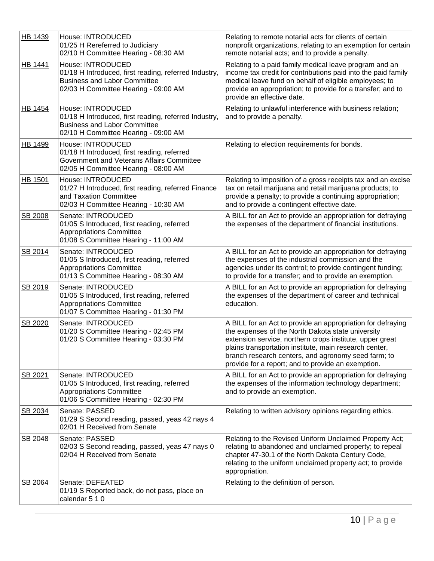| HB 1439 | House: INTRODUCED<br>01/25 H Rereferred to Judiciary<br>02/10 H Committee Hearing - 08:30 AM                                                              | Relating to remote notarial acts for clients of certain<br>nonprofit organizations, relating to an exemption for certain<br>remote notarial acts; and to provide a penalty.                                                                                                                                                                         |
|---------|-----------------------------------------------------------------------------------------------------------------------------------------------------------|-----------------------------------------------------------------------------------------------------------------------------------------------------------------------------------------------------------------------------------------------------------------------------------------------------------------------------------------------------|
| HB 1441 | House: INTRODUCED<br>01/18 H Introduced, first reading, referred Industry,<br><b>Business and Labor Committee</b><br>02/03 H Committee Hearing - 09:00 AM | Relating to a paid family medical leave program and an<br>income tax credit for contributions paid into the paid family<br>medical leave fund on behalf of eligible employees; to<br>provide an appropriation; to provide for a transfer; and to<br>provide an effective date.                                                                      |
| HB 1454 | House: INTRODUCED<br>01/18 H Introduced, first reading, referred Industry,<br><b>Business and Labor Committee</b><br>02/10 H Committee Hearing - 09:00 AM | Relating to unlawful interference with business relation;<br>and to provide a penalty.                                                                                                                                                                                                                                                              |
| HB 1499 | House: INTRODUCED<br>01/18 H Introduced, first reading, referred<br>Government and Veterans Affairs Committee<br>02/05 H Committee Hearing - 08:00 AM     | Relating to election requirements for bonds.                                                                                                                                                                                                                                                                                                        |
| HB 1501 | House: INTRODUCED<br>01/27 H Introduced, first reading, referred Finance<br>and Taxation Committee<br>02/03 H Committee Hearing - 10:30 AM                | Relating to imposition of a gross receipts tax and an excise<br>tax on retail marijuana and retail marijuana products; to<br>provide a penalty; to provide a continuing appropriation;<br>and to provide a contingent effective date.                                                                                                               |
| SB 2008 | Senate: INTRODUCED<br>01/05 S Introduced, first reading, referred<br><b>Appropriations Committee</b><br>01/08 S Committee Hearing - 11:00 AM              | A BILL for an Act to provide an appropriation for defraying<br>the expenses of the department of financial institutions.                                                                                                                                                                                                                            |
| SB 2014 | Senate: INTRODUCED<br>01/05 S Introduced, first reading, referred<br>Appropriations Committee<br>01/13 S Committee Hearing - 08:30 AM                     | A BILL for an Act to provide an appropriation for defraying<br>the expenses of the industrial commission and the<br>agencies under its control; to provide contingent funding;<br>to provide for a transfer; and to provide an exemption.                                                                                                           |
| SB 2019 | Senate: INTRODUCED<br>01/05 S Introduced, first reading, referred<br><b>Appropriations Committee</b><br>01/07 S Committee Hearing - 01:30 PM              | A BILL for an Act to provide an appropriation for defraying<br>the expenses of the department of career and technical<br>education.                                                                                                                                                                                                                 |
| SB 2020 | Senate: INTRODUCED<br>01/20 S Committee Hearing - 02:45 PM<br>01/20 S Committee Hearing - 03:30 PM                                                        | A BILL for an Act to provide an appropriation for defraying<br>the expenses of the North Dakota state university<br>extension service, northern crops institute, upper great<br>plains transportation institute, main research center,<br>branch research centers, and agronomy seed farm; to<br>provide for a report; and to provide an exemption. |
| SB 2021 | Senate: INTRODUCED<br>01/05 S Introduced, first reading, referred<br><b>Appropriations Committee</b><br>01/06 S Committee Hearing - 02:30 PM              | A BILL for an Act to provide an appropriation for defraying<br>the expenses of the information technology department;<br>and to provide an exemption.                                                                                                                                                                                               |
| SB 2034 | Senate: PASSED<br>01/29 S Second reading, passed, yeas 42 nays 4<br>02/01 H Received from Senate                                                          | Relating to written advisory opinions regarding ethics.                                                                                                                                                                                                                                                                                             |
| SB 2048 | Senate: PASSED<br>02/03 S Second reading, passed, yeas 47 nays 0<br>02/04 H Received from Senate                                                          | Relating to the Revised Uniform Unclaimed Property Act;<br>relating to abandoned and unclaimed property; to repeal<br>chapter 47-30.1 of the North Dakota Century Code,<br>relating to the uniform unclaimed property act; to provide<br>appropriation.                                                                                             |
| SB 2064 | Senate: DEFEATED<br>01/19 S Reported back, do not pass, place on<br>calendar 5 1 0                                                                        | Relating to the definition of person.                                                                                                                                                                                                                                                                                                               |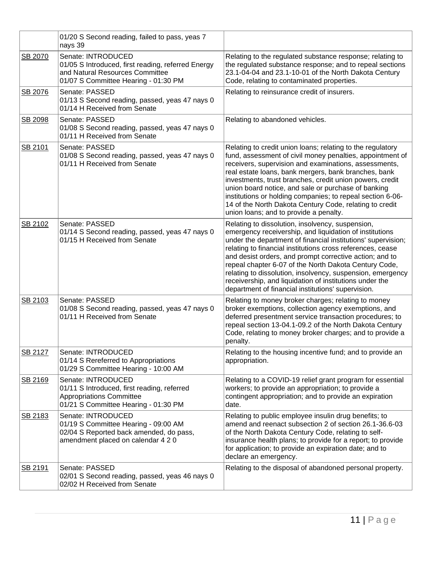|         | 01/20 S Second reading, failed to pass, yeas 7<br>nays 39                                                                                           |                                                                                                                                                                                                                                                                                                                                                                                                                                                                                                                                              |
|---------|-----------------------------------------------------------------------------------------------------------------------------------------------------|----------------------------------------------------------------------------------------------------------------------------------------------------------------------------------------------------------------------------------------------------------------------------------------------------------------------------------------------------------------------------------------------------------------------------------------------------------------------------------------------------------------------------------------------|
| SB 2070 | Senate: INTRODUCED<br>01/05 S Introduced, first reading, referred Energy<br>and Natural Resources Committee<br>01/07 S Committee Hearing - 01:30 PM | Relating to the regulated substance response; relating to<br>the regulated substance response; and to repeal sections<br>23.1-04-04 and 23.1-10-01 of the North Dakota Century<br>Code, relating to contaminated properties.                                                                                                                                                                                                                                                                                                                 |
| SB 2076 | Senate: PASSED<br>01/13 S Second reading, passed, yeas 47 nays 0<br>01/14 H Received from Senate                                                    | Relating to reinsurance credit of insurers.                                                                                                                                                                                                                                                                                                                                                                                                                                                                                                  |
| SB 2098 | Senate: PASSED<br>01/08 S Second reading, passed, yeas 47 nays 0<br>01/11 H Received from Senate                                                    | Relating to abandoned vehicles.                                                                                                                                                                                                                                                                                                                                                                                                                                                                                                              |
| SB 2101 | Senate: PASSED<br>01/08 S Second reading, passed, yeas 47 nays 0<br>01/11 H Received from Senate                                                    | Relating to credit union loans; relating to the regulatory<br>fund, assessment of civil money penalties, appointment of<br>receivers, supervision and examinations, assessments,<br>real estate loans, bank mergers, bank branches, bank<br>investments, trust branches, credit union powers, credit<br>union board notice, and sale or purchase of banking<br>institutions or holding companies; to repeal section 6-06-<br>14 of the North Dakota Century Code, relating to credit<br>union loans; and to provide a penalty.               |
| SB 2102 | Senate: PASSED<br>01/14 S Second reading, passed, yeas 47 nays 0<br>01/15 H Received from Senate                                                    | Relating to dissolution, insolvency, suspension,<br>emergency receivership, and liquidation of institutions<br>under the department of financial institutions' supervision;<br>relating to financial institutions cross references, cease<br>and desist orders, and prompt corrective action; and to<br>repeal chapter 6-07 of the North Dakota Century Code,<br>relating to dissolution, insolvency, suspension, emergency<br>receivership, and liquidation of institutions under the<br>department of financial institutions' supervision. |
| SB 2103 | Senate: PASSED<br>01/08 S Second reading, passed, yeas 47 nays 0<br>01/11 H Received from Senate                                                    | Relating to money broker charges; relating to money<br>broker exemptions, collection agency exemptions, and<br>deferred presentment service transaction procedures; to<br>repeal section 13-04.1-09.2 of the North Dakota Century<br>Code, relating to money broker charges; and to provide a<br>penalty.                                                                                                                                                                                                                                    |
| SB 2127 | Senate: INTRODUCED<br>01/14 S Rereferred to Appropriations<br>01/29 S Committee Hearing - 10:00 AM                                                  | Relating to the housing incentive fund; and to provide an<br>appropriation.                                                                                                                                                                                                                                                                                                                                                                                                                                                                  |
| SB 2169 | Senate: INTRODUCED<br>01/11 S Introduced, first reading, referred<br><b>Appropriations Committee</b><br>01/21 S Committee Hearing - 01:30 PM        | Relating to a COVID-19 relief grant program for essential<br>workers; to provide an appropriation; to provide a<br>contingent appropriation; and to provide an expiration<br>date.                                                                                                                                                                                                                                                                                                                                                           |
| SB 2183 | Senate: INTRODUCED<br>01/19 S Committee Hearing - 09:00 AM<br>02/04 S Reported back amended, do pass,<br>amendment placed on calendar 4 2 0         | Relating to public employee insulin drug benefits; to<br>amend and reenact subsection 2 of section 26.1-36.6-03<br>of the North Dakota Century Code, relating to self-<br>insurance health plans; to provide for a report; to provide<br>for application; to provide an expiration date; and to<br>declare an emergency.                                                                                                                                                                                                                     |
| SB 2191 | Senate: PASSED<br>02/01 S Second reading, passed, yeas 46 nays 0<br>02/02 H Received from Senate                                                    | Relating to the disposal of abandoned personal property.                                                                                                                                                                                                                                                                                                                                                                                                                                                                                     |